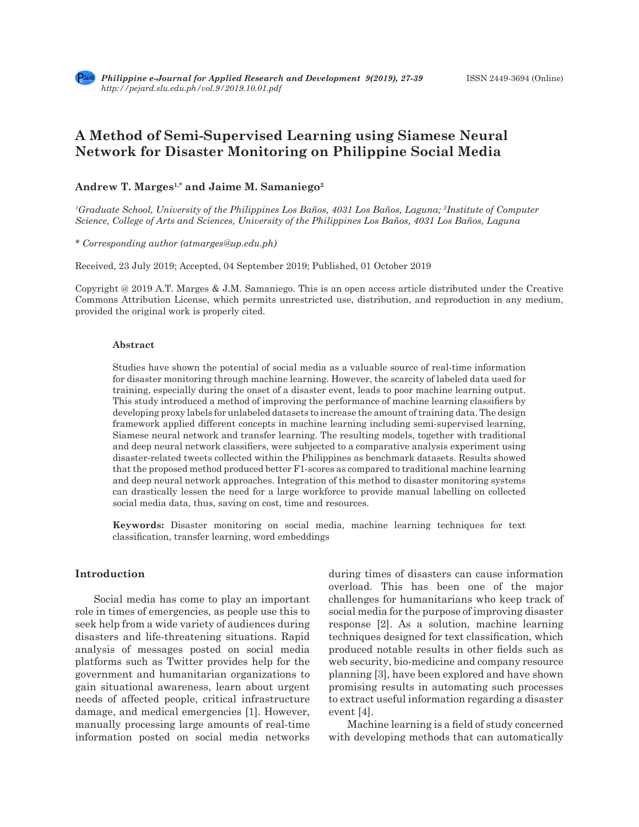# **A Method of Semi-Supervised Learning using Siamese Neural Network for Disaster Monitoring on Philippine Social Media**

## Andrew T. Marges<sup>1,\*</sup> and Jaime M. Samaniego<sup>2</sup>

*1 Graduate School, University of the Philippines Los Baños, 4031 Los Baños, Laguna; 2 Institute of Computer Science, College of Arts and Sciences, University of the Philippines Los Baños, 4031 Los Baños, Laguna*

*\* Corresponding author (atmarges@up.edu.ph)*

Received, 23 July 2019; Accepted, 04 September 2019; Published, 01 October 2019

Copyright @ 2019 A.T. Marges & J.M. Samaniego. This is an open access article distributed under the Creative Commons Attribution License, which permits unrestricted use, distribution, and reproduction in any medium, provided the original work is properly cited.

#### **Abstract**

Studies have shown the potential of social media as a valuable source of real-time information for disaster monitoring through machine learning. However, the scarcity of labeled data used for training, especially during the onset of a disaster event, leads to poor machine learning output. This study introduced a method of improving the performance of machine learning classifiers by developing proxy labels for unlabeled datasets to increase the amount of training data. The design framework applied different concepts in machine learning including semi-supervised learning, Siamese neural network and transfer learning. The resulting models, together with traditional and deep neural network classifiers, were subjected to a comparative analysis experiment using disaster-related tweets collected within the Philippines as benchmark datasets. Results showed that the proposed method produced better F1-scores as compared to traditional machine learning and deep neural network approaches. Integration of this method to disaster monitoring systems can drastically lessen the need for a large workforce to provide manual labelling on collected social media data, thus, saving on cost, time and resources.

**Keywords:** Disaster monitoring on social media, machine learning techniques for text classification, transfer learning, word embeddings

## **Introduction**

Social media has come to play an important role in times of emergencies, as people use this to seek help from a wide variety of audiences during disasters and life-threatening situations. Rapid analysis of messages posted on social media platforms such as Twitter provides help for the government and humanitarian organizations to gain situational awareness, learn about urgent needs of affected people, critical infrastructure damage, and medical emergencies [1]. However, manually processing large amounts of real-time information posted on social media networks during times of disasters can cause information overload. This has been one of the major challenges for humanitarians who keep track of social media for the purpose of improving disaster response [2]. As a solution, machine learning techniques designed for text classification, which produced notable results in other fields such as web security, bio-medicine and company resource planning [3], have been explored and have shown promising results in automating such processes to extract useful information regarding a disaster event [4].

Machine learning is a field of study concerned with developing methods that can automatically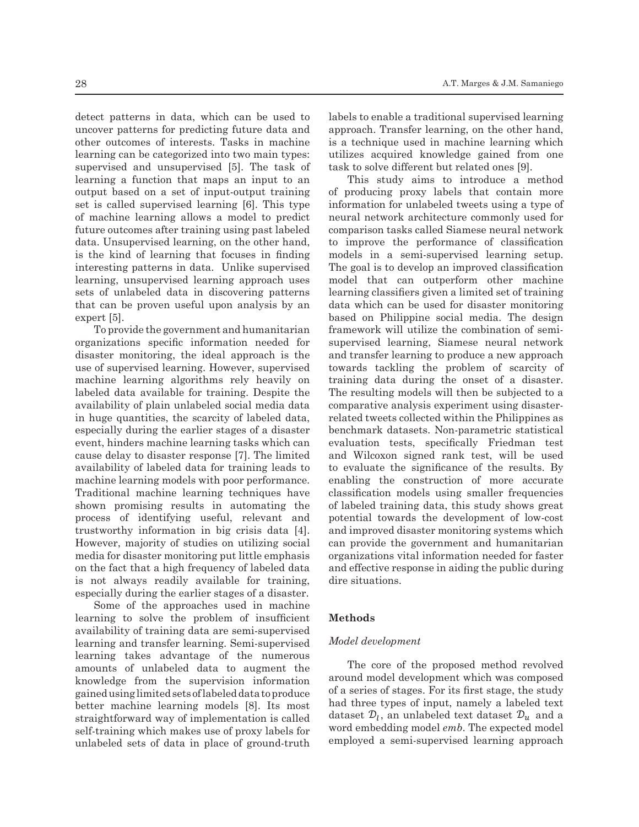detect patterns in data, which can be used to uncover patterns for predicting future data and other outcomes of interests. Tasks in machine learning can be categorized into two main types: supervised and unsupervised [5]. The task of learning a function that maps an input to an output based on a set of input-output training set is called supervised learning [6]. This type of machine learning allows a model to predict future outcomes after training using past labeled data. Unsupervised learning, on the other hand, is the kind of learning that focuses in finding interesting patterns in data. Unlike supervised learning, unsupervised learning approach uses sets of unlabeled data in discovering patterns that can be proven useful upon analysis by an expert [5].

To provide the government and humanitarian organizations specific information needed for disaster monitoring, the ideal approach is the use of supervised learning. However, supervised machine learning algorithms rely heavily on labeled data available for training. Despite the availability of plain unlabeled social media data in huge quantities, the scarcity of labeled data, especially during the earlier stages of a disaster event, hinders machine learning tasks which can cause delay to disaster response [7]. The limited availability of labeled data for training leads to machine learning models with poor performance. Traditional machine learning techniques have shown promising results in automating the of labeled training da process of identifying useful, relevant and trustworthy information in big crisis data [4]. However, majority of studies on utilizing social media for disaster monitoring put little emphasis on the fact that a high frequency of labeled data is not always readily available for training, dire situations.  $\alpha$  especially during the earlier stages of a disaster.

Some of the approaches used in machine<br> $\frac{1}{2}$  and  $\frac{1}{2}$  and  $\frac{1}{2}$  and  $\frac{1}{2}$  and  $\frac{1}{2}$  and  $\frac{1}{2}$  and  $\frac{1}{2}$  and  $\frac{1}{2}$  and  $\frac{1}{2}$  and  $\frac{1}{2}$  and  $\frac{1}{2}$  and  $\frac{1}{2}$  and  $\frac{1}{2}$  and  $\text{learning to solve the problem of insufficient Methods}$ availability of training data are semi-supervised availability of training data are selli-supervised<br>learning and transfer learning. Semi-supervised Model development rearning and transfer rearning, bein-supervised<br>learning takes advantage of the numerous earning takes advantage of the numerous<br>amounts of unlabeled data to augment the The core of the knowledge from the supervision information gained using limited sets of labeled data to produce better machine learning models [8]. Its most had three types of straightforward way of implementation is called dataset  $\mathcal{D}_l$ , an unlabeled text dataset  $\mathcal{D}_u$ self-training which makes use of proxy labels for unlabeled sets of data in place of ground-truth abeled sets of data in place of ground-truth employed a semi-supervised learning approach

labels to enable a traditional supervised learning approach. Transfer learning, on the other hand, is a technique used in machine learning which utilizes acquired knowledge gained from one task to solve different but related ones [9].

This study aims to introduce a method of producing proxy labels that contain more information for unlabeled tweets using a type of neural network architecture commonly used for comparison tasks called Siamese neural network to improve the performance of classification models in a semi-supervised learning setup. The goal is to develop an improved classification model that can outperform other machine learning classifiers given a limited set of training data which can be used for disaster monitoring based on Philippine social media. The design framework will utilize the combination of semisupervised learning, Siamese neural network and transfer learning to produce a new approach towards tackling the problem of scarcity of training data during the onset of a disaster. The resulting models will then be subjected to a comparative analysis experiment using disasterrelated tweets collected within the Philippines as benchmark datasets. Non-parametric statistical evaluation tests, specifically Friedman test and Wilcoxon signed rank test, will be used to evaluate the significance of the results. By e learning models with poor performance. enabling the construction of more accurate onal machine learning techniques have classification models using smaller frequencies of labeled training data, this study shows great identifying useful, relevant and potential towards the development of low-cost orthy information in big crisis data [4]. and improved disaster monitoring systems which er, majority of studies on utilizing social can provide the government and humanitarian or disaster monitoring put little emphasis organizations vital information needed for faster  $\frac{1}{2}$ fact that a high frequency of labeled data and effective response in aiding the public during dire situations.

### **Methods**

else 0, indicating that the Siamese neural network was tasked to learn similarity metrics. metrics to produce a more informative proxy label. This study built up from the idea that providing

#### *Model development*

The core of the proposed method revolved or amabeled data to augment the<br>Form the supervision information around model development which was composed edusing limited sets of labeled data to produce of a series of stages. For its first stage, the study Followed and three types of input, namely a labeled text er machine learning models [8]. Its most had three types of input, namely a labeled text tforward way of implementation is called dataset  $\mathcal{D}_l$ , an unlabeled text dataset  $\mathcal{D}_u$  and a training which makes use of proxy labels for word embedding model emb. The expected model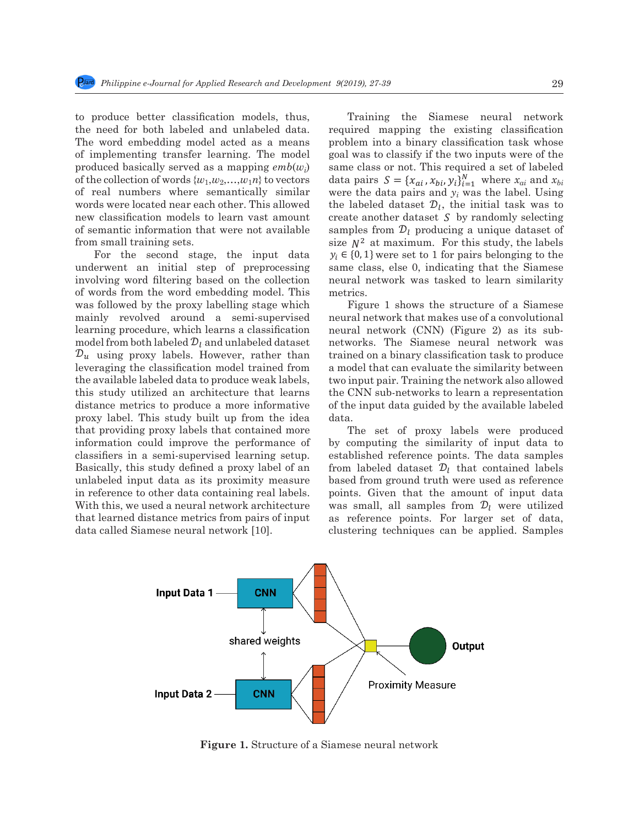to produce better classification models, thus, Train the need for both labeled and unlabeled data. required more results in a small training sets. The word embedding model acted as a means problem in of implementing transfer learning. The model goal was to produced basically served as a mapping  $emb(w_i)$  same class of the collection of words  $\{w_1, w_2, ..., w_1n\}$  to vectors of the conection of words  $\{w_1, w_2, \ldots, w_l\}$  to vectors data pairs of real numbers where semantically similar were the d words were located near each other. This allowed the labeled not as were located from each other. This and we are another dataset  $S<sub>1</sub>$ , of semantic information that were not available samples frequency from small training sets.  $size \t N^2$  is to produce better classification models, thus, Trainir

from small training sets.<br>For the second stage, the input data  $y_i \in \{0,1\}$  w underwent an initial step of preprocessing same cla involving word filtering based on the collection neural net of words from the word embedding model. This metrics. was followed by the proxy labelling stage which Figure mainly revolved around a semi-supervised neural network  $\frac{1}{2}$  learning procedure, which learns a classification neural n model from both labeled  $\mathcal{D}_l$  and unlabeled dataset networks  $\mathcal{D}_u$  using proxy labels. However, rather than trained of leveraging the classification model trained from a model to  $\frac{1}{2}$ the available labeled data to produce weak labels, t this study utilized an architecture that learns the CNN distance metrics to produce a more informative of the inp proxy label. This study built up from the idea data. that providing proxy labels that contained more The information could improve the performance of  $\frac{1}{2}$  involved  $\frac{1}{2}$  $\omega$  of  $\overline{v}$  $\mathbf{f}$ word filtering based on the collection of words from the collection of words  $\log n$  $m$  or  $m$  ${\mathcal D}_u$  $lev\varepsilon$ the to produce weak labels, the study utilized and the study utilized and study utilized and study utilized an architecture that learns distribution  $\mathbf{r}_i$ this this study built up this study built up that provide providing  $\mathbf{f}$  this study built up from the idea that providing  $\mathbf{f}$  that providing  $\mathbf{f}$  that providing  $\mathbf{f}$  that providing  $\mathbf{f}$  that providing proxy dist proxy learning setup. Basic learning setup. Basic learning setup. Basic learning setup. Basic learning setup. Basic learning setup. Basic learning setup. Basic learning setup. Basic learning setup. Basic learning setup. Ba data as its proximity measure in reference to  $t$  has  $t$  has  $t$  has  $t$  has  $t$  has  $t$  has  $t$  has  $t$  has  $t$  has  $t$  has  $t$  has  $t$  has  $t$  has  $t$  has  $t$  has  $t$  has  $t$  has  $t$  has  $t$  has  $t$  has  $t$  has  $t$  has a neural network architecture that learned distance metrics from pairs of input distance metrics  $\frac{1}{2}$ Training the Siamese network required map  $\mathbf{B}$ into a binary classification task whose goal was to classify if the same classification  $\mathbf{u}$  $\frac{m}{w}$  $\frac{W}{\hbar}$ dataset by randomly selecting samples from producing a unique dataset of size <sup>2</sup> at  $rac{u}{\sqrt{2}}$  were set to this study, the same class, the same class, the same class, the same class, the same class, the same class, the same class, the same class, the same class, the same class, the same class, the same classifiers in a semi-supervised learning setup. Basically, this study defined a proxy label of an unlabeled input data as its proximity measure in reference to other data containing real labels. With this, we used a neural network architecture that learned distance metrics from pairs of input data called Siamese neural network [10]. the word embedding model. This metrics.<br>by the proxy labelling stage which Figure 1 shows the structure of a Siamese For the second stage, the input data  $y_i \in \{0, 1\}$  w induction de available data data data data data.<br>Para guide data da available data.

etter classification models, thus, Training the Siamese neural network both labeled and unlabeled data. required mapping the existing classification both labeled and dihabeted data. Fequited mapping the existing classification bedding model acted as a means problem into a binary classification task whose ing transfer learning. The model goal was to classify if the two inputs were of the cally served as a mapping  $emb(w_i)$  same class or not. This required a set of labeled vords  $\{w_1, w_2,..., w_1n\}$  to vectors data pairs  $S = \{x_{ai}, x_{bi}, y_i\}_{i=1}^N$  where  $x_{ai}$  and  $x_{bi}$ where semantically similar were the data pairs and  $y_i$  was the label. Using cated near each other. This allowed the labeled dataset  $\mathcal{D}_l$ , the initial task was to models to learn vast amount create another dataset  $S$  by randomly selecting is information that were not available samples from  $\mathcal{D}_l$  producing a unique dataset of normation that were not available<br>samples from  $\nu_l$  producing a unique dataset of<br>size  $N^2$  at maximum. For this study, the labels<br> $\sum_{l=1}^{l} S_{l}^{(l)}$ second stage, the input data  $y_i \in \{0, 1\}$  were set to 1 for pairs belonging to the n initial step of preprocessing same class, else 0, indicating that the Siamese ering based on the collection neural network was tasked to learn similarity semi-supervisor is a means problem into a proxy classification task whose metrics.  $\text{size } N^2 \text{ at maximum.}$  For this study, the labels to learn variety of learn variety  $\frac{1}{N}$ of preprocessing same class, else  $\upsilon$ , indicating that the slamese words were located near allowed new classification models in the context of learn variative variation models to

by the proxy labeling stage which<br>we around a semi-supervised neural network that makes use of a convolutional by the available labels. However, regarding the available labels are conveniented.<br>hich learns a classification model network (CNN) (Figure 2) as its sub- $\alpha$  and unlabeled dataset networks. The Siamese neural network was  $\alpha$   $\alpha$   $\beta$  and dimagered dataset the new of s. The Stainese held at helivork was list. However, rather than trained on a binary classification task to produce cation model trained from a model that can evaluate the similarity between a moder trained from a moder that can evaluate the similarity service.<br>at a to produce weak labels, two input pair. Training the network also allowed 1 architecture that learns the CNN sub-networks to learn a representation reflected to the collection of the input data guided by the available labeled data. stage which stage is shows the structure of a blamese

prove the performance of by computing the similarity of input data to supervised learning setup. established reference points. The data samples as its proximity measure based from ground truth were used as reference defined a proxy label of an from labeled dataset  $\mathcal{D}_l$  that contained labels that contained more The set of proxy labels were produced lata containing real labels. points. Given that the amount of input data eural network architecture was small, all samples from  $\mathcal{D}_l$  were utilized cs from pairs of input as reference points. For larger set of data, eural network [10]. clustering techniques can be applied. Samples



**Figure 1.** Structure of a Siamese neural network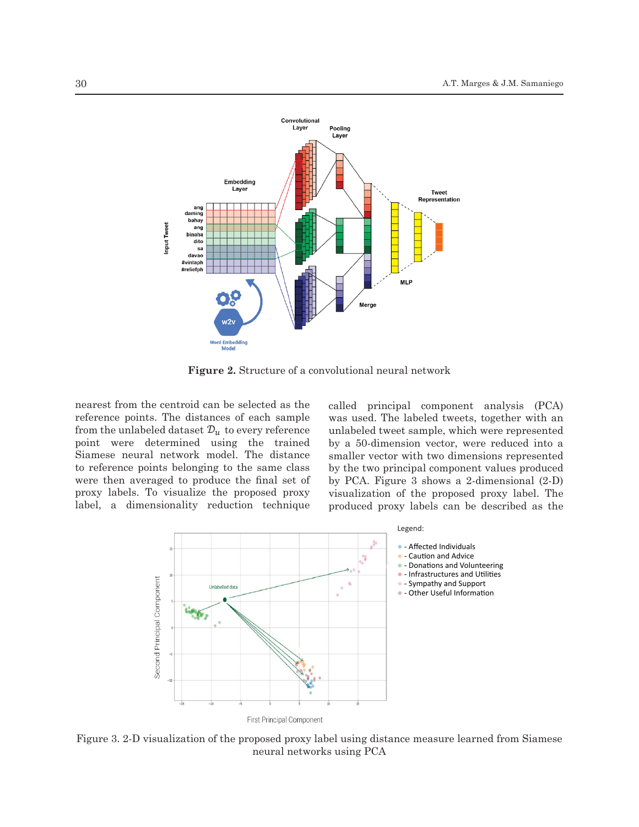

**Figure 2.** Structure of a convolutional neural network  $\Gamma$ is allowed near each other. This allowed new classification models to learn vast amount amount amount amount amount amount amount amount amount amount amount amount amount amount amount amount amount amount amount amo

nearest from the centroid can be selected as the reference points. The distances of each sample from the unlabeled dataset  $\mathcal{D}_u$  to every reference point were determined using the trained Siamese neural network model. The distance to reference points belonging to the same class were then averaged to produce the final set of proxy labels. To visualize the proposed proxy label, a dimensionality reduction technique

called principal component analysis (PCA) was used. The labeled tweets, together with an unlabeled tweet sample, which were represented by a 50-dimension vector, were reduced into a smaller vector with two dimensions represented by the two principal component values produced by PCA. Figure 3 shows a 2-dimensional (2-D) visualization of the proposed proxy label. The produced proxy labels can be described as the



Figure 3. 2-D visualization of the proposed proxy label using distance measure learned from Siamese neural networks using PCA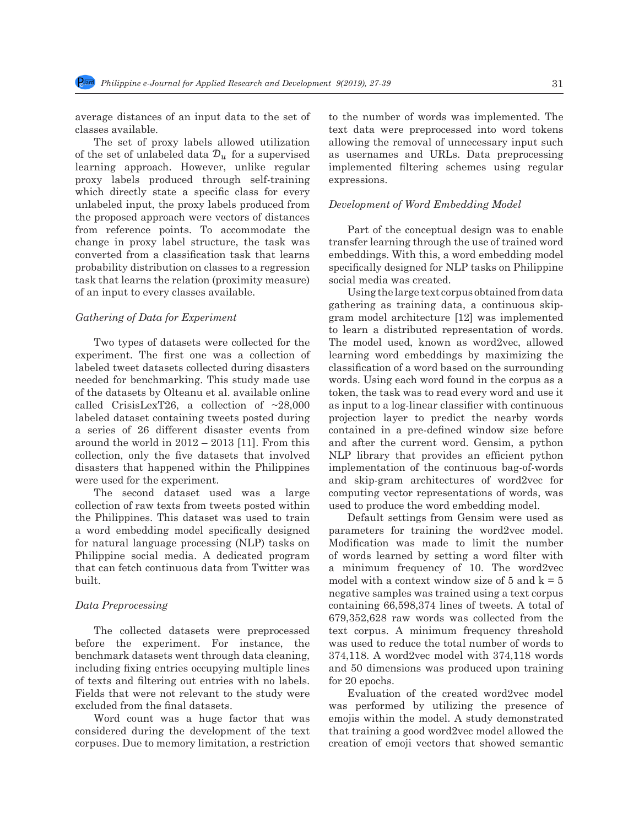average distances of an input data to the set of classes available.

The set of proxy labels allowed utilization of the set of unlabeled data  $\mathcal{D}_u$  for a supervised learning approach. However, unlike regular proxy labels produced through self-training which directly state a specific class for every unlabeled input, the proxy labels produced from the proposed approach were vectors of distances from reference points. To accommodate the change in proxy label structure, the task was probability distribution on classes to a regression task that learns the relation (proximity measure) or an of an input to every classes available. converted from a classification task that learns

## data pairs and was the label. Using the labeled dataset , the initial task was to create another *Gathering of Data for Experiment* dataset ing of Data for Experiment

Two types of datasets were collected for the experiment. The first one was a collection of Figure 1 shows the structure of a Siamese neural network that makes use of a convolutional labeled tweet datasets collected during disasters needed for benchmarking. This study made use need to be communing. This stady made also of the datasets by Olteanu et al. available online called CrisisLexT26, a collection of  $\sim$ 28,000 labeled dataset containing tweets posted during a series of 26 different disaster events from around the world in 2012 – 2013 [11]. From this collection, only the five datasets that involved disasters that happened within the Philippines were used for the experiment.

> $\mathbf{f}_{\text{tot}}$ The second dataset used was a large collection of raw texts from tweets posted within the Philippines. This dataset was used to train a word embedding model specifically designed for natural language processing (NLP) tasks on Philippine social media. A dedicated program that can fetch continuous data from Twitter was built.

#### *Data Preprocessing*

The collected datasets were preprocessed before the experiment. For instance, the benchmark datasets went through data cleaning, including fixing entries occupying multiple lines of texts and filtering out entries with no labels. Fields that were not relevant to the study were excluded from the final datasets.

Word count was a huge factor that was considered during the development of the text corpuses. Due to memory limitation, a restriction to the number of words was implemented. The text data were preprocessed into word tokens allowing the removal of unnecessary input such as usernames and URLs. Data preprocessing implemented filtering schemes using regular expressions.

#### *Development of Word Embedding Model*

Part of the conceptual design was to enable transfer learning through the use of trained word embeddings. With this, a word embedding model specifically designed for NLP tasks on Philippine social media was created.

Using the large text corpus obtained from data gathering as training data, a continuous skipgram model architecture [12] was implemented to learn a distributed representation of words. The model used, known as word2vec, allowed learning word embeddings by maximizing the classification of a word based on the surrounding words. Using each word found in the corpus as a token, the task was to read every word and use it as input to a log-linear classifier with continuous projection layer to predict the nearby words contained in a pre-defined window size before and after the current word. Gensim, a python NLP library that provides an efficient python implementation of the continuous bag-of-words and skip-gram architectures of word2vec for computing vector representations of words, was used to produce the word embedding model.

Default settings from Gensim were used as parameters for training the word2vec model. Modification was made to limit the number of words learned by setting a word filter with a minimum frequency of 10. The word2vec model with a context window size of 5 and  $k = 5$ negative samples was trained using a text corpus containing 66,598,374 lines of tweets. A total of 679,352,628 raw words was collected from the text corpus. A minimum frequency threshold was used to reduce the total number of words to 374,118. A word2vec model with 374,118 words and 50 dimensions was produced upon training for 20 epochs.

Evaluation of the created word2vec model was performed by utilizing the presence of emojis within the model. A study demonstrated that training a good word2vec model allowed the creation of emoji vectors that showed semantic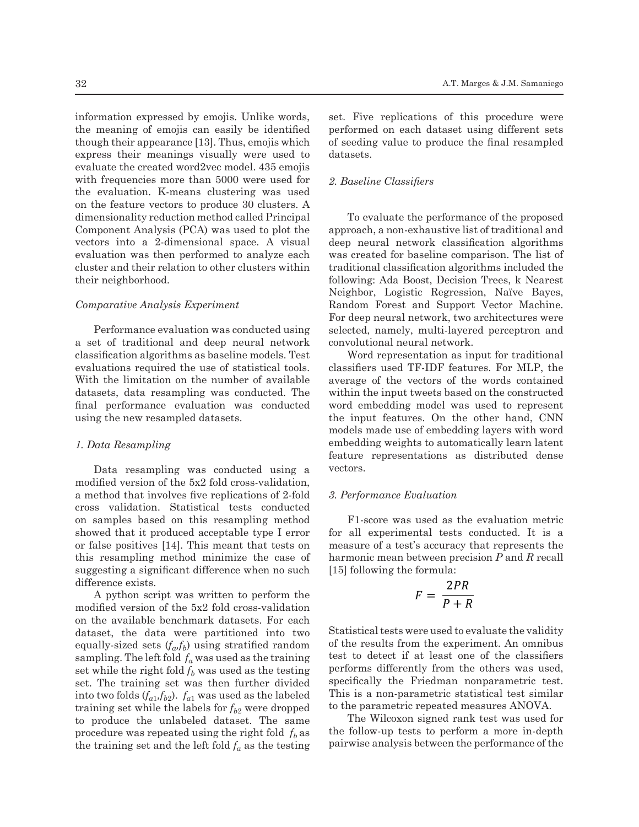information expressed by emojis. Unlike words, the meaning of emojis can easily be identified though their appearance [13]. Thus, emojis which express their meanings visually were used to evaluate the created word2vec model. 435 emojis with frequencies more than 5000 were used for the evaluation. K-means clustering was used on the feature vectors to produce 30 clusters. A dimensionality reduction method called Principal Component Analysis (PCA) was used to plot the vectors into a 2-dimensional space. A visual evaluation was then performed to analyze each cluster and their relation to other clusters within their neighborhood.

#### *Comparative Analysis Experiment*

Performance evaluation was conducted using a set of traditional and deep neural network classification algorithms as baseline models. Test evaluations required the use of statistical tools. With the limitation on the number of available datasets, data resampling was conducted. The final performance evaluation was conducted mall performance evaluation was concluded when<br>using the new resampled datasets. the

#### *1. Data Resampling*

Data resampling was conducted using a vectors. modified version of the  $5x^2$  fold cross-validation, a method that involves five replications of 2-fold cross validation. Statistical tests conducted on samples based on this resampling method showed that it produced acceptable type I error or false positives [14]. This meant that tests on this resampling method minimize the case of has suggesting a significant difference when no such difference exists.

A python script was written to perform the modified version of the 5x2 fold cross-validation on the available benchmark datasets. For each dataset, the data were partitioned into two equally-sized sets  $(f_a, f_b)$  using stratified random sampling. The left fold  $f_a$  was used as the training set while the right fold  $f_b$  was used as the testing performs differently f set. The training set was then further divided into two folds  $(f_{a1}, f_{b2})$ .  $f_{a1}$  was used as the labeled training set while the labels for  $f_{b2}$  were dropped to produce the unlabeled dataset. The same procedure was repeated using the right fold  $f_b$  as the training set and the left fold  $f_a$  as the testing pairwise a

set. Five replications of this procedure were performed on each dataset using different sets of seeding value to produce the final resampled datasets.

#### *2. Baseline Classifiers*

To evaluate the performance of the proposed approach, a non-exhaustive list of traditional and deep neural network classification algorithms was created for baseline comparison. The list of traditional classification algorithms included the following: Ada Boost, Decision Trees, k Nearest Neighbor, Logistic Regression, Naïve Bayes, Random Forest and Support Vector Machine. For deep neural network, two architectures were selected, namely, multi-layered perceptron and neural network convolutional neural network.

s baseline models. Test Word representation as input for traditional use of statistical tools. classifiers used  $TF$ -IDF features. For MLP, the e number of available average of the vectors of the words contained<br> within the input tweets based on the constructed g was conducted. The width the input tweets based on the constructed ation was conducted word embedding model was used to represent the input features. On the other hand, CNN models made use of embedding layers with word embedding weights to automatically learn latent feature representations as distributed dense vectors.

#### *3. Performance Evaluation*

F1-score was used as the evaluation metric able type I error for all experimental tests conducted. It is a is meant that tests on measure of a test's accuracy that represents the harmonic mean between precision *P* and *R* recall [15] following the formula:

$$
F = \frac{2PR}{P + R}
$$

tioned into two Statistical tests were used to evaluate the validity sing stratified random of the results from the experiment. An omnibus  $\alpha$  as used as the training test to detect if at least one of the classifiers Turtner divided specifically the Friedman honparametric test.<br>ed as the labeled This is a non-parametric statistical test similar  $p_{\text{abs}}$  as the fabeled the parametric repeated measures ANOVA. performs differently from the others was used, specifically the Friedman nonparametric test.

 $\frac{1}{\text{at order}}$  the same The Wilcoxon signed rank test was used for sing the right fold  $f_b$  as the follow-up tests to perform a more in-depth pairwise analysis between the performance of the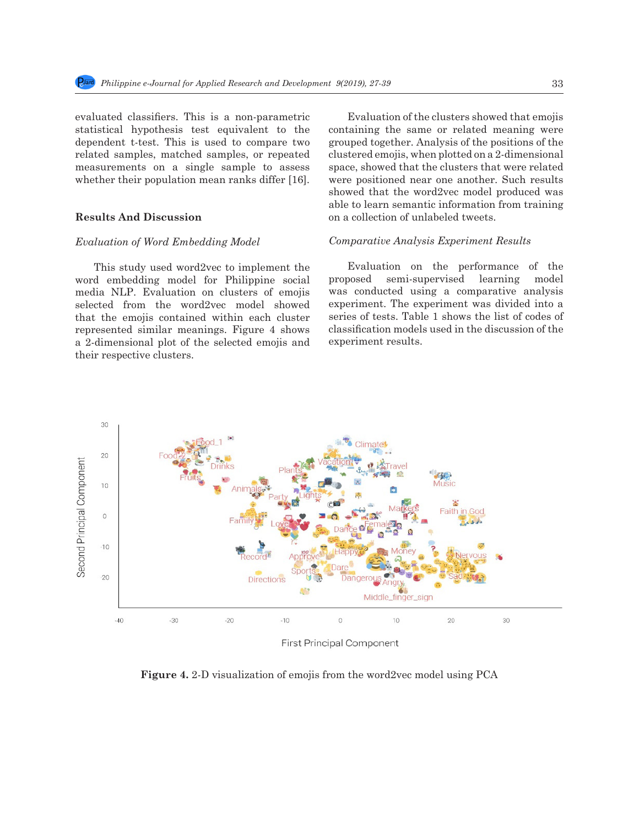*Philippine e-Journal for Applied Research and Development 9(2019), 27-39* **(Online) 33** 

evaluated classifiers. This is a non-parametric statistical hypothesis test equivalent to the dependent t-test. This is used to compare two related samples, matched samples, or repeated measurements on a single sample to assess whether their population mean ranks differ [16].

## **Results And Discussion**

#### *Evaluation of Word Embedding Model*

This study used word2vec to implement the word embedding model for Philippine social media NLP. Evaluation on clusters of emojis selected from the word2vec model showed that the emojis contained within each cluster represented similar meanings. Figure 4 shows a 2-dimensional plot of the selected emojis and their respective clusters.

Evaluation of the clusters showed that emojis containing the same or related meaning were grouped together. Analysis of the positions of the clustered emojis, when plotted on a 2-dimensional space, showed that the clusters that were related were positioned near one another. Such results showed that the word2vec model produced was able to learn semantic information from training on a collection of unlabeled tweets.

#### *Comparative Analysis Experiment Results*

Evaluation on the performance of the proposed semi-supervised learning model was conducted using a comparative analysis experiment. The experiment was divided into a series of tests. Table 1 shows the list of codes of classification models used in the discussion of the experiment results.



**Figure 4.** 2-D visualization of emojis from the word2vec model using PCA

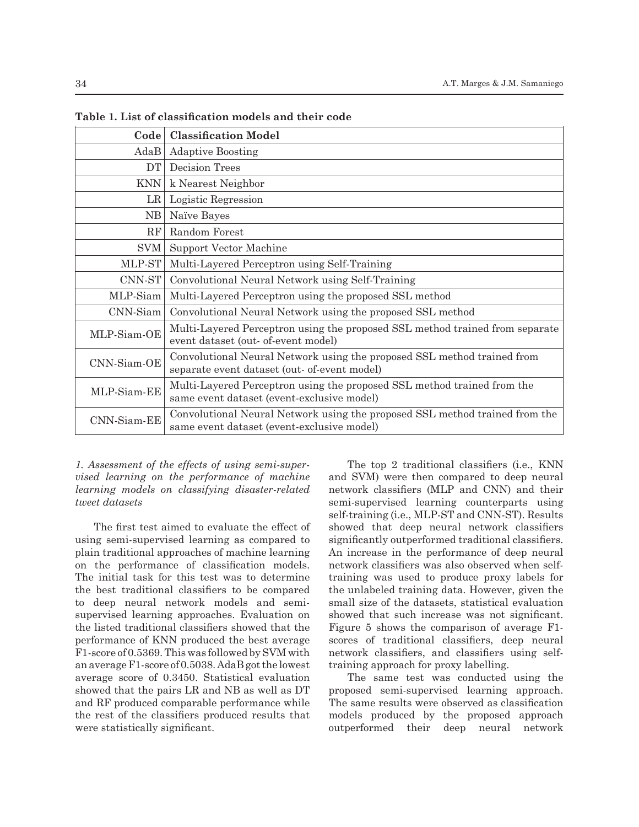| Code        | <b>Classification Model</b>                                                                                               |
|-------------|---------------------------------------------------------------------------------------------------------------------------|
| AdaB        | <b>Adaptive Boosting</b>                                                                                                  |
| DT          | Decision Trees                                                                                                            |
| <b>KNN</b>  | k Nearest Neighbor                                                                                                        |
| LR          | Logistic Regression                                                                                                       |
| NΒ          | Naïve Bayes                                                                                                               |
| RF          | Random Forest                                                                                                             |
| SVM         | Support Vector Machine                                                                                                    |
| MLP-ST      | Multi-Layered Perceptron using Self-Training                                                                              |
| CNNST       | Convolutional Neural Network using Self-Training                                                                          |
| MLP-Siam    | Multi-Layered Perceptron using the proposed SSL method                                                                    |
| $CNN-Siam$  | Convolutional Neural Network using the proposed SSL method                                                                |
| MLP-Siam-OE | Multi-Layered Perceptron using the proposed SSL method trained from separate<br>event dataset (out- of-event model)       |
| CNN-Siam-OE | Convolutional Neural Network using the proposed SSL method trained from<br>separate event dataset (out- of-event model)   |
| MLP-Siam-EE | Multi-Layered Perceptron using the proposed SSL method trained from the<br>same event dataset (event-exclusive model)     |
| CNN-Siam-EE | Convolutional Neural Network using the proposed SSL method trained from the<br>same event dataset (event-exclusive model) |

**Table 1. List of classification models and their code**

## *1. Assessment of the effects of using semi-supervised learning on the performance of machine learning models on classifying disaster-related tweet datasets*

The first test aimed to evaluate the effect of using semi-supervised learning as compared to plain traditional approaches of machine learning on the performance of classification models. The initial task for this test was to determine the best traditional classifiers to be compared to deep neural network models and semisupervised learning approaches. Evaluation on the listed traditional classifiers showed that the performance of KNN produced the best average F1-score of 0.5369. This was followed by SVM with an average F1-score of 0.5038. AdaB got the lowest average score of 0.3450. Statistical evaluation showed that the pairs LR and NB as well as DT and RF produced comparable performance while the rest of the classifiers produced results that were statistically significant.

The top 2 traditional classifiers (i.e., KNN and SVM) were then compared to deep neural network classifiers (MLP and CNN) and their semi-supervised learning counterparts using self-training (i.e., MLP-ST and CNN-ST). Results showed that deep neural network classifiers significantly outperformed traditional classifiers. An increase in the performance of deep neural network classifiers was also observed when selftraining was used to produce proxy labels for the unlabeled training data. However, given the small size of the datasets, statistical evaluation showed that such increase was not significant. Figure 5 shows the comparison of average F1 scores of traditional classifiers, deep neural network classifiers, and classifiers using selftraining approach for proxy labelling.

The same test was conducted using the proposed semi-supervised learning approach. The same results were observed as classification models produced by the proposed approach outperformed their deep neural network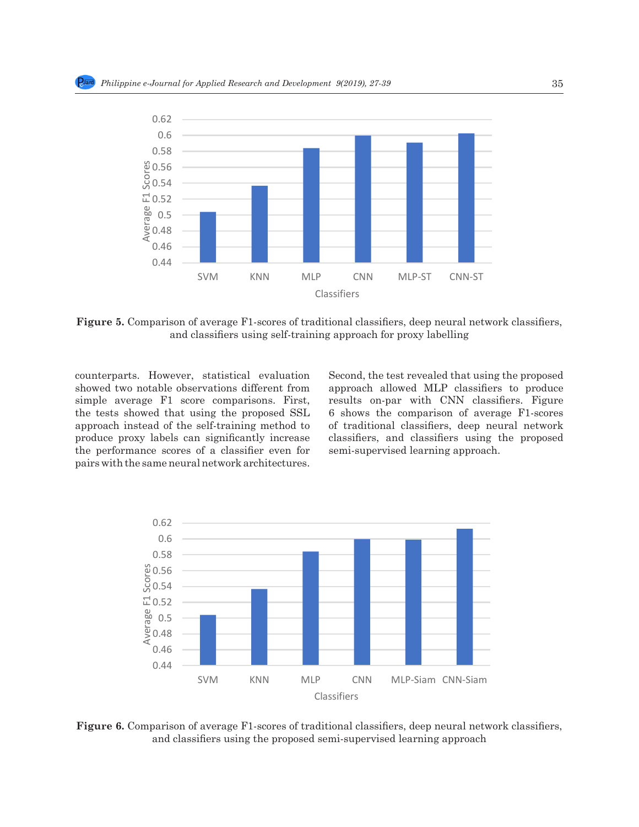for proxy labelling.



Figure 5. Comparison of average F1-scores of traditional classifiers, deep neural network classifiers, using self-training approach for proxy labelling and classifiers using self-training approach for proxy labelling

showed two notable observations different from showed two notable observations different from approach allowed MLP classifiers to produce<br>simple average F1 score comparisons. First, aresults on-par with CNN classifiers. Figure the tests showed that using the proposed SSL approach instead of the self-training method to produce proxy labels can significantly increase classifiers, and classifiers using the proposed the performance scores of a classifier even for the performance scores of a classmer even for semi-supervised learning approach.<br>pairs with the same neural network architectures. the tests showed that using the proposed  $\text{SSL}$  6 shows the comparison of average F1-scores connects increase in the colf training method to see the ditional eleccition does neural network

counterparts. However, statistical evaluation Second, the test revealed that using the proposed Second, the test revealed that using the proposed approach allowed MLP classifiers to produce results on-par with CNN classifiers. Figure of traditional classifiers, deep neural network classifiers, and classifiers using the proposed semi-supervised learning approach.



mparison of average F1-scores of traditional classifiers, deep neural net<br>and classifiers using the proposed semi-supervised learning approach **Figure 6.** Comparison of average F1-scores of traditional classifiers, deep neural network classifiers,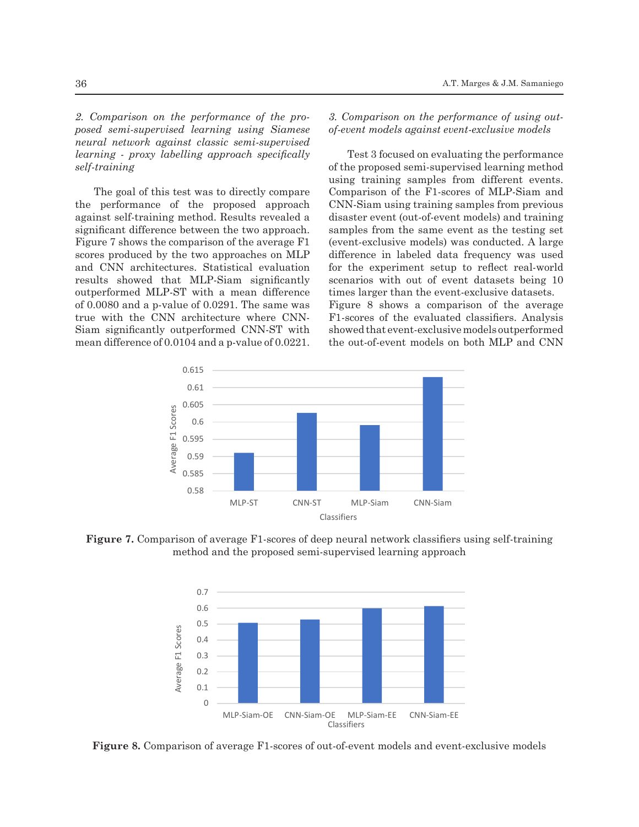2. Comparison on the performance of the pro- 3. Comparison on the performance *posed semi-supervised learning using Siamese neural network against classic semi-supervised learning - proxy labelling approach specifically* Test 3 focused on evaluating the performance learning - proxy labelling approach specifically *self-training*

The goal of this test was to directly compare the performance of the proposed approach CNN-Siam using training samples from previous against self-training method. Results revealed a against sen-training method. Results revealed a subsaster event (out-oi-event models) and training<br>significant difference between the two approach. Samples from the same event as the testing set Figure 7 shows the comparison of the average  $F1$  (event-exclusive models) was conducted. A large scores produced by the two approaches on MLP scores produced by the two approaches on MLP — difference in Tabeled data frequency was used<br>and CNN architectures. Statistical evaluation — for the experiment setup to reflect real-world results showed that MLP-Siam significantly scenarios with out of event datasets being 10 outperformed MLP-ST with a mean difference of 0.0080 and a p-value of 0.0291. The same was true with the CNN architecture where CNN-Siam significantly outperformed CNN-ST with mean difference of 0.0104 and a p-value of 0.0221. outperformed MLP-ST with a mean difference times larger than the event-exclusive datasets.<br>of 0.0080 and a p-value of 0.0291. The same was Figure 8 shows a comparison of the average

*3. Comparison on the performance of using outof-event models against event-exclusive models*

Test 3 focused on evaluating the performance *network against a method* of the proposed semi-supervised learning method using training samples from different events. Comparison of the F1-scores of MLP-Siam and CNN-Siam using training samples from previous disaster event (out-of-event models) and training samples from the same event as the testing set (event-exclusive models) was conducted. A large difference in labeled data frequency was used for the experiment setup to reflect real-world scenarios with out of event datasets being 10 times larger than the event-exclusive datasets.

F1-scores of the evaluated classifiers. Analysis showed that event-exclusive models outperformed the out-of-event models on both MLP and CNN



Figure 6. Comparison of average F1-scores of traditional classifiers, deep neural network classifiers, and classifiers

Figure 7. Comparison of average F1-scores of deep neural network classifiers using self-training method and the proposed semi-supervised learning approach



Figure 8. Comparison of average F1-scores of out-of-event models and event-exclusive models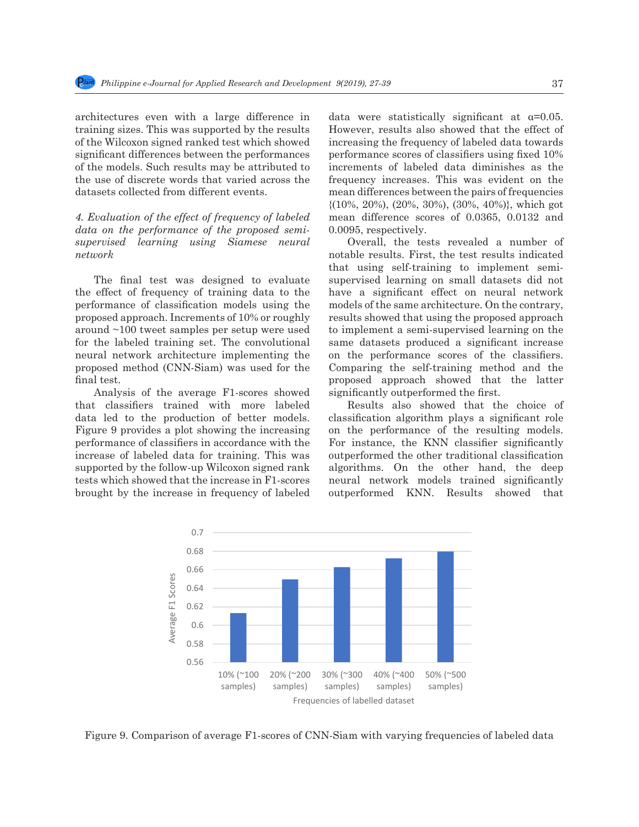architectures even with a large difference in training sizes. This was supported by the results of the Wilcoxon signed ranked test which showed significant differences between the performances of the models. Such results may be attributed to the use of discrete words that varied across the frequency increases. This was evident on the datasets collected from different events.

0.2

data on the performance of the proposed semi*supervised learning using Siamese neural network*

The final test was designed to evaluate the effect of frequency of training data to the performance of classification models using the models of the same architecture. On the contrary, proposed approach. Increments of 10% or roughly around ~100 tweet samples per setup were used for the labeled training set. The convolutional same datasets produced a significant increase neural network architecture implementing the heural hetwork architecture implementing the on the performance scores of the classifiers.<br>proposed method (CNN-Siam) was used for the Comparing the self-training method and the final test. Ine final test was designed to evaluate supervised learning on small datasets did not<br>the effect of frequency of training data to the have a significant effect on neural network

Analysis of the average F1-scores showed Analysis of the average F1-scores showed significantly outperformed the first.<br>that classifiers trained with more labeled Results also showed that the choice of Figure 9 provides a plot showing the increasing supported by the follow-up Wilcoxon signed rank tests which showed that the increase in F1-scores brought by the increase in frequency of labeled outperformed KNN. Results showed that

4. *Evaluation of the effect of frequency of labeled* a mean difference scores of 0.0365, 0.0132 and data were statistically significant at α=0.05. However, results also showed that the effect of test which showed increasing the frequency of labeled data towards performance scores of classifiers using fixed 10% increments of labeled data diminishes as the frequency increases. This was evident on the mean differences between the pairs of frequencies {(10%, 20%), (20%, 30%), (30%, 40%)}, which got mean difference scores of 0.0365, 0.0132 and 0.0095, respectively.

Overall, the tests revealed a number of supervised learning using Siamese neural Uverall, the tests revealed a number of  $network$ that using self-training to implement semisupervised learning on small datasets did not models of the same architecture. On the contrary, results showed that using the proposed approach to implement a semi-supervised learning on the same datasets produced a significant increase on the performance scores of the classifiers. Comparing the self-training method and the final test. The corresponding that the latter in a corresponding to labeled that the latter  $\frac{1}{2}$ significantly outperformed the first.

data led to the production of better models. classification algorithm plays a significant role rigure b provides a plot showing the increasing of the performance of the resulting models.<br>The performance of classifiers in accordance with the For instance, the KNN classifier significantly increase of labeled data for training. This was outperformed the other traditional classification Results also showed that the choice of classification algorithm plays a significant role on the performance of the resulting models. For instance, the KNN classifier significantly outperformed the other traditional classification algorithms. On the other hand, the deep supported by the follow-up whicoxon signed rank and apportunity. On the other hand, the deep<br>tests which showed that the increase in F1-scores neural network models trained significantly outperformed KNN. Results showed that



Figure 9. Comparison of average F1-scores of CNN-Siam with varying frequencies of labeled data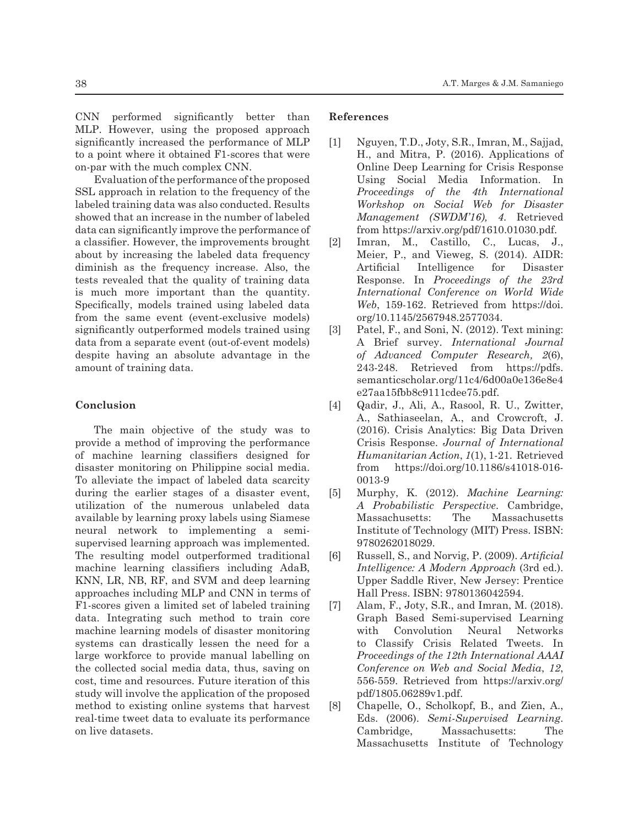CNN performed significantly better than MLP. However, using the proposed approach significantly increased the performance of MLP to a point where it obtained F1-scores that were on-par with the much complex CNN.

Evaluation of the performance of the proposed SSL approach in relation to the frequency of the labeled training data was also conducted. Results showed that an increase in the number of labeled data can significantly improve the performance of a classifier. However, the improvements brought about by increasing the labeled data frequency diminish as the frequency increase. Also, the tests revealed that the quality of training data is much more important than the quantity. Specifically, models trained using labeled data from the same event (event-exclusive models) significantly outperformed models trained using data from a separate event (out-of-event models) despite having an absolute advantage in the amount of training data.

#### **Conclusion**

The main objective of the study was to provide a method of improving the performance of machine learning classifiers designed for disaster monitoring on Philippine social media. To alleviate the impact of labeled data scarcity during the earlier stages of a disaster event, utilization of the numerous unlabeled data available by learning proxy labels using Siamese neural network to implementing a semisupervised learning approach was implemented. The resulting model outperformed traditional machine learning classifiers including AdaB, KNN, LR, NB, RF, and SVM and deep learning approaches including MLP and CNN in terms of F1-scores given a limited set of labeled training data. Integrating such method to train core machine learning models of disaster monitoring systems can drastically lessen the need for a large workforce to provide manual labelling on the collected social media data, thus, saving on cost, time and resources. Future iteration of this study will involve the application of the proposed method to existing online systems that harvest real-time tweet data to evaluate its performance on live datasets.

## **References**

- [1] Nguyen, T.D., Joty, S.R., Imran, M., Sajjad, H., and Mitra, P. (2016). Applications of Online Deep Learning for Crisis Response Using Social Media Information. In *Proceedings of the 4th International Workshop on Social Web for Disaster Management (SWDM'16), 4*. Retrieved from https://arxiv.org/pdf/1610.01030.pdf.
- [2] Imran, M., Castillo, C., Lucas, J., Meier, P., and Vieweg, S. (2014). AIDR: Artificial Intelligence for Disaster Response. In *Proceedings of the 23rd International Conference on World Wide Web*, 159-162. Retrieved from https://doi. org/10.1145/2567948.2577034.
- [3] Patel, F., and Soni, N. (2012). Text mining: A Brief survey. *International Journal of Advanced Computer Research, 2*(6), 243-248. Retrieved from https://pdfs. semanticscholar.org/11c4/6d00a0e136e8e4 e27aa15fbb8c9111cdee75.pdf.
- [4] Qadir, J., Ali, A., Rasool, R. U., Zwitter, A., Sathiaseelan, A., and Crowcroft, J. (2016). Crisis Analytics: Big Data Driven Crisis Response. *Journal of International Humanitarian Action*, *1*(1), 1-21. Retrieved from https://doi.org/10.1186/s41018-016- 0013-9
- [5] Murphy, K. (2012). *Machine Learning: A Probabilistic Perspective*. Cambridge, Massachusetts: The Massachusetts Institute of Technology (MIT) Press. ISBN: 9780262018029.
- [6] Russell, S., and Norvig, P. (2009). *Artificial Intelligence: A Modern Approach* (3rd ed.). Upper Saddle River, New Jersey: Prentice Hall Press. ISBN: 9780136042594.
- [7] Alam, F., Joty, S.R., and Imran, M. (2018). Graph Based Semi-supervised Learning with Convolution Neural Networks to Classify Crisis Related Tweets. In *Proceedings of the 12th International AAAI Conference on Web and Social Media*, *12*, 556-559. Retrieved from https://arxiv.org/ pdf/1805.06289v1.pdf.
- [8] Chapelle, O., Scholkopf, B., and Zien, A., Eds. (2006). *Semi-Supervised Learning*. Cambridge, Massachusetts: The Massachusetts Institute of Technology